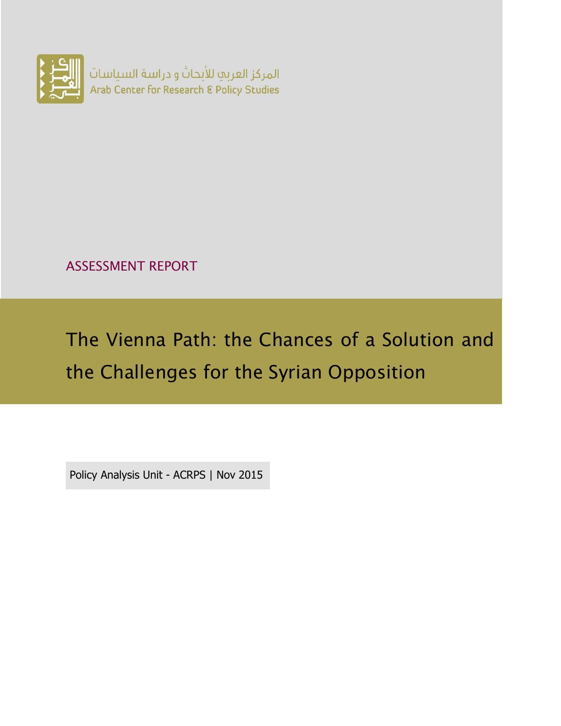

ASSESSMENT REPORT

# The Vienna Path: the Chances of a Solution and the Challenges for the Syrian Opposition

Policy Analysis Unit - ACRPS | Nov 2015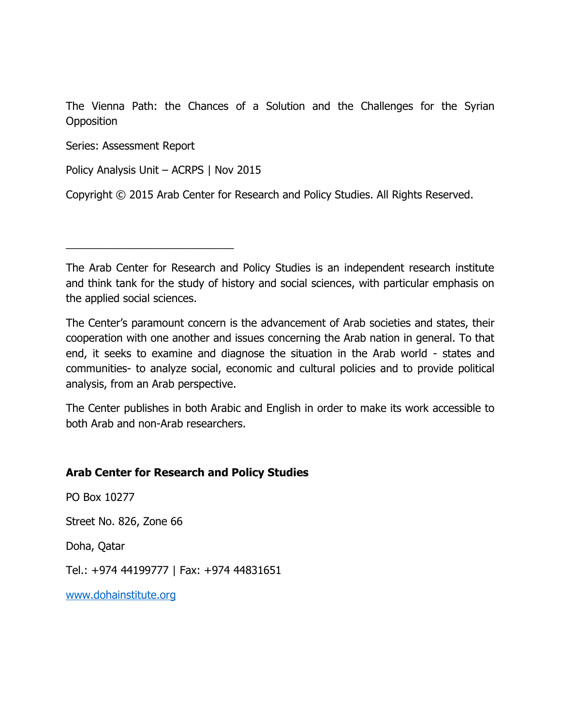The Vienna Path: the Chances of a Solution and the Challenges for the Syrian **Opposition** 

Series: Assessment Report

Policy Analysis Unit – ACRPS | Nov 2015

\_\_\_\_\_\_\_\_\_\_\_\_\_\_\_\_\_\_\_\_\_\_\_\_\_\_\_\_

Copyright © 2015 Arab Center for Research and Policy Studies. All Rights Reserved.

The Arab Center for Research and Policy Studies is an independent research institute and think tank for the study of history and social sciences, with particular emphasis on the applied social sciences.

The Center's paramount concern is the advancement of Arab societies and states, their cooperation with one another and issues concerning the Arab nation in general. To that end, it seeks to examine and diagnose the situation in the Arab world - states and communities- to analyze social, economic and cultural policies and to provide political analysis, from an Arab perspective.

The Center publishes in both Arabic and English in order to make its work accessible to both Arab and non-Arab researchers.

#### **Arab Center for Research and Policy Studies**

PO Box 10277

Street No. 826, Zone 66

Doha, Qatar

Tel.: +974 44199777 | Fax: +974 44831651

[www.dohainstitute.org](file:///C:/Users/dena.qaddumi/Desktop/www.dohainstitute.org)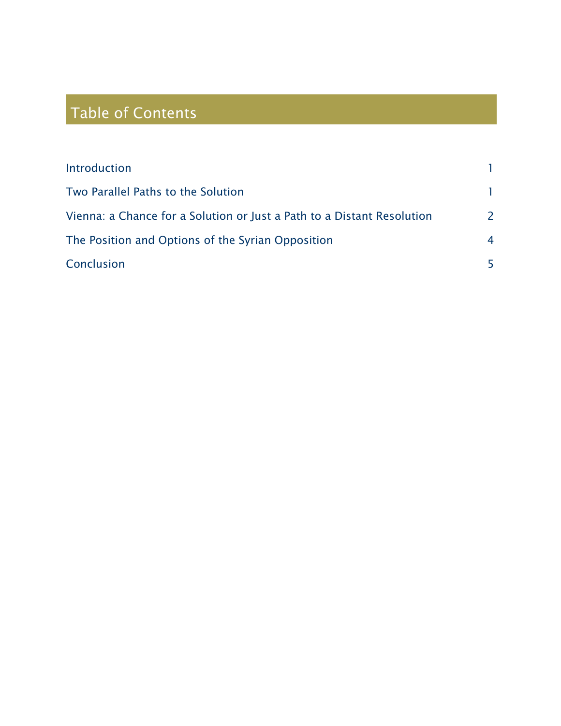## Table of Contents

| Introduction                                                           |                |
|------------------------------------------------------------------------|----------------|
| Two Parallel Paths to the Solution                                     |                |
| Vienna: a Chance for a Solution or Just a Path to a Distant Resolution | $\overline{2}$ |
| The Position and Options of the Syrian Opposition                      | 4              |
| Conclusion                                                             |                |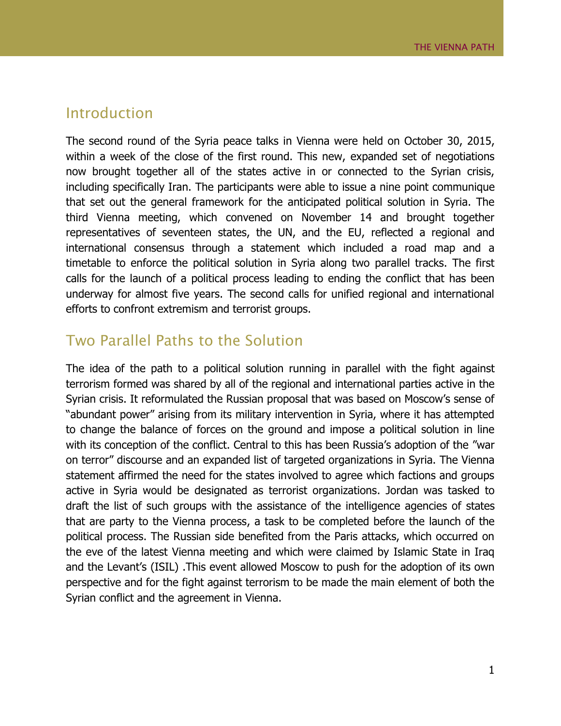#### <span id="page-4-0"></span>Introduction

The second round of the Syria peace talks in Vienna were held on October 30, 2015, within a week of the close of the first round. This new, expanded set of negotiations now brought together all of the states active in or connected to the Syrian crisis, including specifically Iran. The participants were able to issue a nine point communique that set out the general framework for the anticipated political solution in Syria. The third Vienna meeting, which convened on November 14 and brought together representatives of seventeen states, the UN, and the EU, reflected a regional and international consensus through a statement which included a road map and a timetable to enforce the political solution in Syria along two parallel tracks. The first calls for the launch of a political process leading to ending the conflict that has been underway for almost five years. The second calls for unified regional and international efforts to confront extremism and terrorist groups.

#### <span id="page-4-1"></span>Two Parallel Paths to the Solution

The idea of the path to a political solution running in parallel with the fight against terrorism formed was shared by all of the regional and international parties active in the Syrian crisis. It reformulated the Russian proposal that was based on Moscow's sense of "abundant power" arising from its military intervention in Syria, where it has attempted to change the balance of forces on the ground and impose a political solution in line with its conception of the conflict. Central to this has been Russia's adoption of the "war on terror" discourse and an expanded list of targeted organizations in Syria. The Vienna statement affirmed the need for the states involved to agree which factions and groups active in Syria would be designated as terrorist organizations. Jordan was tasked to draft the list of such groups with the assistance of the intelligence agencies of states that are party to the Vienna process, a task to be completed before the launch of the political process. The Russian side benefited from the Paris attacks, which occurred on the eve of the latest Vienna meeting and which were claimed by Islamic State in Iraq and the Levant's (ISIL) .This event allowed Moscow to push for the adoption of its own perspective and for the fight against terrorism to be made the main element of both the Syrian conflict and the agreement in Vienna.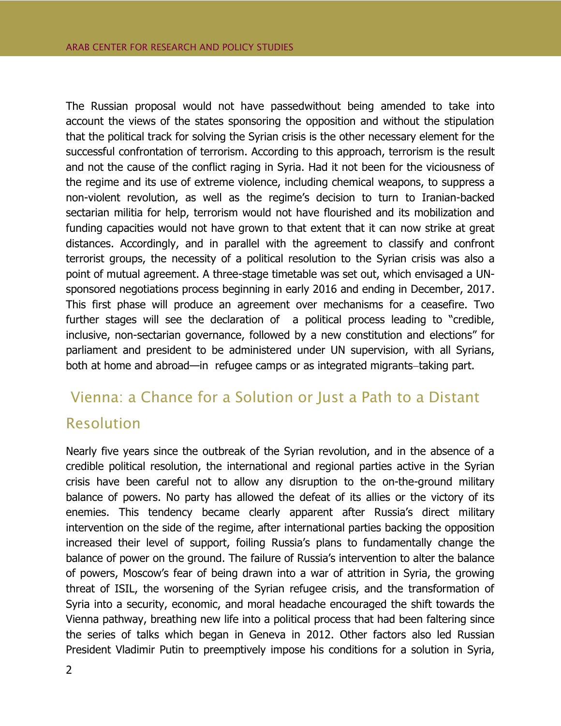The Russian proposal would not have passedwithout being amended to take into account the views of the states sponsoring the opposition and without the stipulation that the political track for solving the Syrian crisis is the other necessary element for the successful confrontation of terrorism. According to this approach, terrorism is the result and not the cause of the conflict raging in Syria. Had it not been for the viciousness of the regime and its use of extreme violence, including chemical weapons, to suppress a non-violent revolution, as well as the regime's decision to turn to Iranian-backed sectarian militia for help, terrorism would not have flourished and its mobilization and funding capacities would not have grown to that extent that it can now strike at great distances. Accordingly, and in parallel with the agreement to classify and confront terrorist groups, the necessity of a political resolution to the Syrian crisis was also a point of mutual agreement. A three-stage timetable was set out, which envisaged a UNsponsored negotiations process beginning in early 2016 and ending in December, 2017. This first phase will produce an agreement over mechanisms for a ceasefire. Two further stages will see the declaration of a political process leading to "credible, inclusive, non-sectarian governance, followed by a new constitution and elections" for parliament and president to be administered under UN supervision, with all Syrians, both at home and abroad—in refugee camps or as integrated migrants-taking part.

### <span id="page-5-0"></span>Vienna: a Chance for a Solution or Just a Path to a Distant Resolution

Nearly five years since the outbreak of the Syrian revolution, and in the absence of a credible political resolution, the international and regional parties active in the Syrian crisis have been careful not to allow any disruption to the on-the-ground military balance of powers. No party has allowed the defeat of its allies or the victory of its enemies. This tendency became clearly apparent after Russia's direct military intervention on the side of the regime, after international parties backing the opposition increased their level of support, foiling Russia's plans to fundamentally change the balance of power on the ground. The failure of Russia's intervention to alter the balance of powers, Moscow's fear of being drawn into a war of attrition in Syria, the growing threat of ISIL, the worsening of the Syrian refugee crisis, and the transformation of Syria into a security, economic, and moral headache encouraged the shift towards the Vienna pathway, breathing new life into a political process that had been faltering since the series of talks which began in Geneva in 2012. Other factors also led Russian President Vladimir Putin to preemptively impose his conditions for a solution in Syria,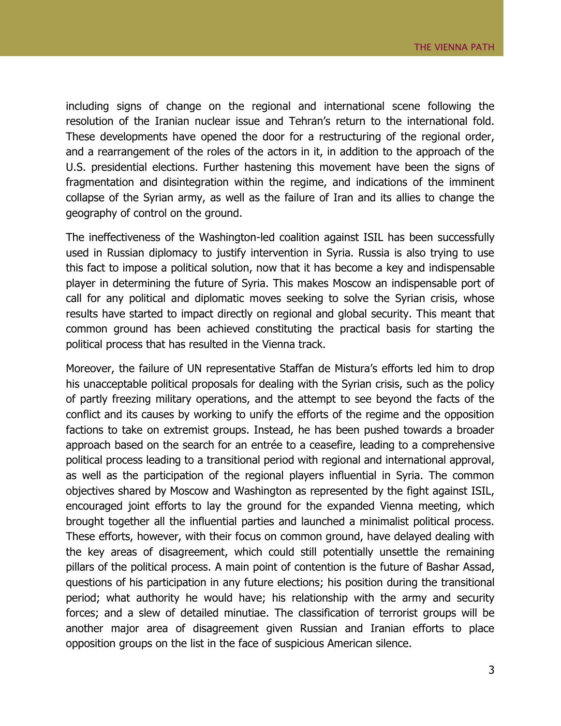including signs of change on the regional and international scene following the resolution of the Iranian nuclear issue and Tehran's return to the international fold. These developments have opened the door for a restructuring of the regional order, and a rearrangement of the roles of the actors in it, in addition to the approach of the U.S. presidential elections. Further hastening this movement have been the signs of fragmentation and disintegration within the regime, and indications of the imminent collapse of the Syrian army, as well as the failure of Iran and its allies to change the geography of control on the ground.

The ineffectiveness of the Washington-led coalition against ISIL has been successfully used in Russian diplomacy to justify intervention in Syria. Russia is also trying to use this fact to impose a political solution, now that it has become a key and indispensable player in determining the future of Syria. This makes Moscow an indispensable port of call for any political and diplomatic moves seeking to solve the Syrian crisis, whose results have started to impact directly on regional and global security. This meant that common ground has been achieved constituting the practical basis for starting the political process that has resulted in the Vienna track.

Moreover, the failure of UN representative Staffan de Mistura's efforts led him to drop his unacceptable political proposals for dealing with the Syrian crisis, such as the policy of partly freezing military operations, and the attempt to see beyond the facts of the conflict and its causes by working to unify the efforts of the regime and the opposition factions to take on extremist groups. Instead, he has been pushed towards a broader approach based on the search for an entrée to a ceasefire, leading to a comprehensive political process leading to a transitional period with regional and international approval, as well as the participation of the regional players influential in Syria. The common objectives shared by Moscow and Washington as represented by the fight against ISIL, encouraged joint efforts to lay the ground for the expanded Vienna meeting, which brought together all the influential parties and launched a minimalist political process. These efforts, however, with their focus on common ground, have delayed dealing with the key areas of disagreement, which could still potentially unsettle the remaining pillars of the political process. A main point of contention is the future of Bashar Assad, questions of his participation in any future elections; his position during the transitional period; what authority he would have; his relationship with the army and security forces; and a slew of detailed minutiae. The classification of terrorist groups will be another major area of disagreement given Russian and Iranian efforts to place opposition groups on the list in the face of suspicious American silence.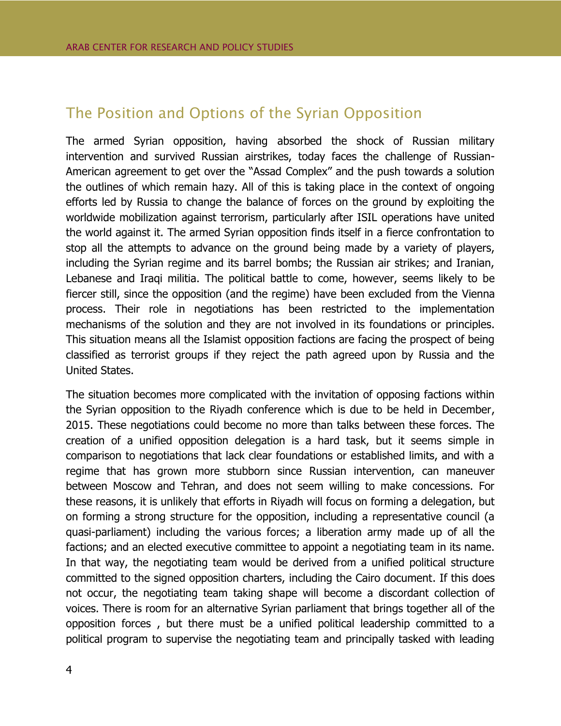#### <span id="page-7-0"></span>The Position and Options of the Syrian Opposition

The armed Syrian opposition, having absorbed the shock of Russian military intervention and survived Russian airstrikes, today faces the challenge of Russian-American agreement to get over the "Assad Complex" and the push towards a solution the outlines of which remain hazy. All of this is taking place in the context of ongoing efforts led by Russia to change the balance of forces on the ground by exploiting the worldwide mobilization against terrorism, particularly after ISIL operations have united the world against it. The armed Syrian opposition finds itself in a fierce confrontation to stop all the attempts to advance on the ground being made by a variety of players, including the Syrian regime and its barrel bombs; the Russian air strikes; and Iranian, Lebanese and Iraqi militia. The political battle to come, however, seems likely to be fiercer still, since the opposition (and the regime) have been excluded from the Vienna process. Their role in negotiations has been restricted to the implementation mechanisms of the solution and they are not involved in its foundations or principles. This situation means all the Islamist opposition factions are facing the prospect of being classified as terrorist groups if they reject the path agreed upon by Russia and the United States.

The situation becomes more complicated with the invitation of opposing factions within the Syrian opposition to the Riyadh conference which is due to be held in December, 2015. These negotiations could become no more than talks between these forces. The creation of a unified opposition delegation is a hard task, but it seems simple in comparison to negotiations that lack clear foundations or established limits, and with a regime that has grown more stubborn since Russian intervention, can maneuver between Moscow and Tehran, and does not seem willing to make concessions. For these reasons, it is unlikely that efforts in Riyadh will focus on forming a delegation, but on forming a strong structure for the opposition, including a representative council (a quasi-parliament) including the various forces; a liberation army made up of all the factions; and an elected executive committee to appoint a negotiating team in its name. In that way, the negotiating team would be derived from a unified political structure committed to the signed opposition charters, including the Cairo document. If this does not occur, the negotiating team taking shape will become a discordant collection of voices. There is room for an alternative Syrian parliament that brings together all of the opposition forces , but there must be a unified political leadership committed to a political program to supervise the negotiating team and principally tasked with leading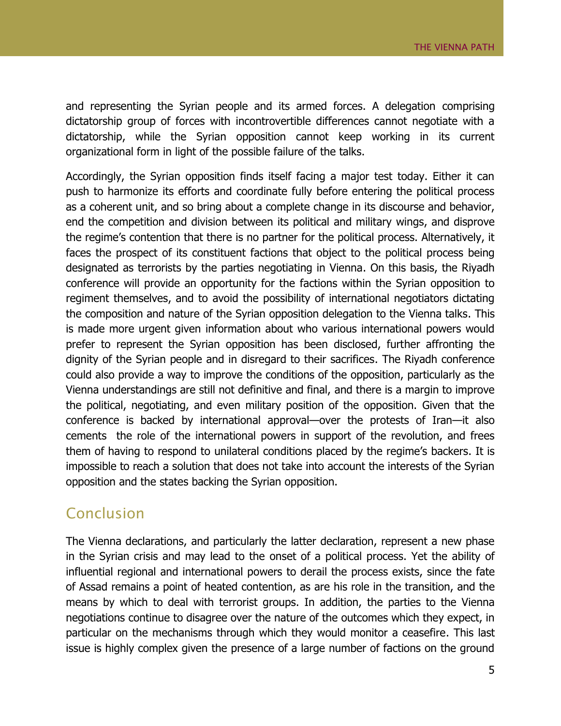and representing the Syrian people and its armed forces. A delegation comprising dictatorship group of forces with incontrovertible differences cannot negotiate with a dictatorship, while the Syrian opposition cannot keep working in its current organizational form in light of the possible failure of the talks.

Accordingly, the Syrian opposition finds itself facing a major test today. Either it can push to harmonize its efforts and coordinate fully before entering the political process as a coherent unit, and so bring about a complete change in its discourse and behavior, end the competition and division between its political and military wings, and disprove the regime's contention that there is no partner for the political process. Alternatively, it faces the prospect of its constituent factions that object to the political process being designated as terrorists by the parties negotiating in Vienna. On this basis, the Riyadh conference will provide an opportunity for the factions within the Syrian opposition to regiment themselves, and to avoid the possibility of international negotiators dictating the composition and nature of the Syrian opposition delegation to the Vienna talks. This is made more urgent given information about who various international powers would prefer to represent the Syrian opposition has been disclosed, further affronting the dignity of the Syrian people and in disregard to their sacrifices. The Riyadh conference could also provide a way to improve the conditions of the opposition, particularly as the Vienna understandings are still not definitive and final, and there is a margin to improve the political, negotiating, and even military position of the opposition. Given that the conference is backed by international approval—over the protests of Iran—it also cements the role of the international powers in support of the revolution, and frees them of having to respond to unilateral conditions placed by the regime's backers. It is impossible to reach a solution that does not take into account the interests of the Syrian opposition and the states backing the Syrian opposition.

#### <span id="page-8-0"></span>Conclusion

The Vienna declarations, and particularly the latter declaration, represent a new phase in the Syrian crisis and may lead to the onset of a political process. Yet the ability of influential regional and international powers to derail the process exists, since the fate of Assad remains a point of heated contention, as are his role in the transition, and the means by which to deal with terrorist groups. In addition, the parties to the Vienna negotiations continue to disagree over the nature of the outcomes which they expect, in particular on the mechanisms through which they would monitor a ceasefire. This last issue is highly complex given the presence of a large number of factions on the ground